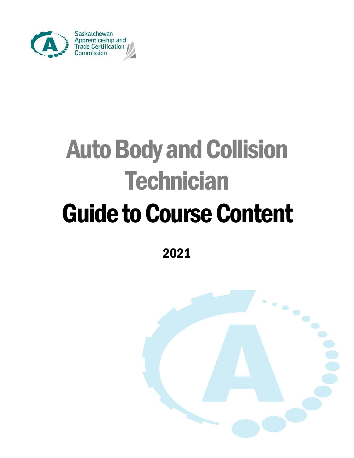

# Auto Body and Collision **Technician** Guide to Course Content

2021

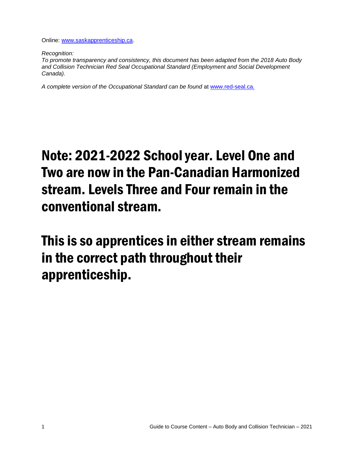Online: [www.saskapprenticeship.ca.](http://www.saskapprenticeship.ca/)

*Recognition:* 

*To promote transparency and consistency, this document has been adapted from the 2018 Auto Body and Collision Technician Red Seal Occupational Standard (Employment and Social Development Canada).*

*A complete version of the Occupational Standard can be found* at [www.red-seal.ca.](http://www.red-seal.ca/)

## Note: 2021-2022 School year. Level One and Two are now in the Pan-Canadian Harmonized stream. Levels Three and Four remain in the conventional stream.

This is so apprentices in either stream remains in the correct path throughout their apprenticeship.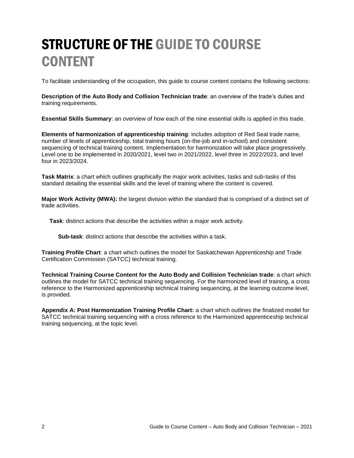## STRUCTURE OF THE GUIDE TO COURSE **CONTENT**

To facilitate understanding of the occupation, this guide to course content contains the following sections:

**Description of the Auto Body and Collision Technician trade**: an overview of the trade's duties and training requirements.

**Essential Skills Summary**: an overview of how each of the nine essential skills is applied in this trade.

**Elements of harmonization of apprenticeship training**: includes adoption of Red Seal trade name, number of levels of apprenticeship, total training hours (on-the-job and in-school) and consistent sequencing of technical training content. Implementation for harmonization will take place progressively. Level one to be implemented in 2020/2021, level two in 2021/2022, level three in 2022/2023, and level four in 2023/2024.

**Task Matrix**: a chart which outlines graphically the major work activities, tasks and sub-tasks of this standard detailing the essential skills and the level of training where the content is covered.

**Major Work Activity (MWA):** the largest division within the standard that is comprised of a distinct set of trade activities.

**Task**: distinct actions that describe the activities within a major work activity.

**Sub-task**: distinct actions that describe the activities within a task.

**Training Profile Chart**: a chart which outlines the model for Saskatchewan Apprenticeship and Trade Certification Commission (SATCC) technical training.

**Technical Training Course Content for the Auto Body and Collision Technician trade**: a chart which outlines the model for SATCC technical training sequencing. For the harmonized level of training, a cross reference to the Harmonized apprenticeship technical training sequencing, at the learning outcome level, is provided.

**Appendix A: Post Harmonization Training Profile Chart:** a chart which outlines the finalized model for SATCC technical training sequencing with a cross reference to the Harmonized apprenticeship technical training sequencing, at the topic level.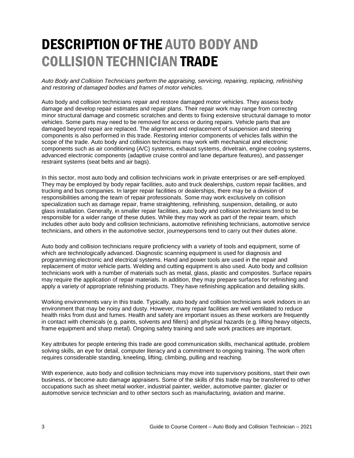## DESCRIPTION OF THE AUTO BODY AND COLLISION TECHNICIAN TRADE

*Auto Body and Collision Technicians perform the appraising, servicing, repairing, replacing, refinishing and restoring of damaged bodies and frames of motor vehicles.*

Auto body and collision technicians repair and restore damaged motor vehicles. They assess body damage and develop repair estimates and repair plans. Their repair work may range from correcting minor structural damage and cosmetic scratches and dents to fixing extensive structural damage to motor vehicles. Some parts may need to be removed for access or during repairs. Vehicle parts that are damaged beyond repair are replaced. The alignment and replacement of suspension and steering components is also performed in this trade. Restoring interior components of vehicles falls within the scope of the trade. Auto body and collision technicians may work with mechanical and electronic components such as air conditioning (A/C) systems, exhaust systems, drivetrain, engine cooling systems, advanced electronic components (adaptive cruise control and lane departure features), and passenger restraint systems (seat belts and air bags).

In this sector, most auto body and collision technicians work in private enterprises or are self-employed. They may be employed by body repair facilities, auto and truck dealerships, custom repair facilities, and trucking and bus companies. In larger repair facilities or dealerships, there may be a division of responsibilities among the team of repair professionals. Some may work exclusively on collision specialization such as damage repair, frame straightening, refinishing, suspension, detailing, or auto glass installation. Generally, in smaller repair facilities, auto body and collision technicians tend to be responsible for a wider range of these duties. While they may work as part of the repair team, which includes other auto body and collision technicians, automotive refinishing technicians, automotive service technicians, and others in the automotive sector, journeypersons tend to carry out their duties alone.

Auto body and collision technicians require proficiency with a variety of tools and equipment, some of which are technologically advanced. Diagnostic scanning equipment is used for diagnosis and programming electronic and electrical systems. Hand and power tools are used in the repair and replacement of motor vehicle parts. Welding and cutting equipment is also used. Auto body and collision technicians work with a number of materials such as metal, glass, plastic and composites. Surface repairs may require the application of repair materials. In addition, they may prepare surfaces for refinishing and apply a variety of appropriate refinishing products. They have refinishing application and detailing skills.

Working environments vary in this trade. Typically, auto body and collision technicians work indoors in an environment that may be noisy and dusty. However, many repair facilities are well ventilated to reduce health risks from dust and fumes. Health and safety are important issues as these workers are frequently in contact with chemicals (e.g. paints, solvents and fillers) and physical hazards (e.g. lifting heavy objects, frame equipment and sharp metal). Ongoing safety training and safe work practices are important.

Key attributes for people entering this trade are good communication skills, mechanical aptitude, problem solving skills, an eye for detail, computer literacy and a commitment to ongoing training. The work often requires considerable standing, kneeling, lifting, climbing, pulling and reaching.

With experience, auto body and collision technicians may move into supervisory positions, start their own business, or become auto damage appraisers. Some of the skills of this trade may be transferred to other occupations such as sheet metal worker, industrial painter, welder, automotive painter, glazier or automotive service technician and to other sectors such as manufacturing, aviation and marine.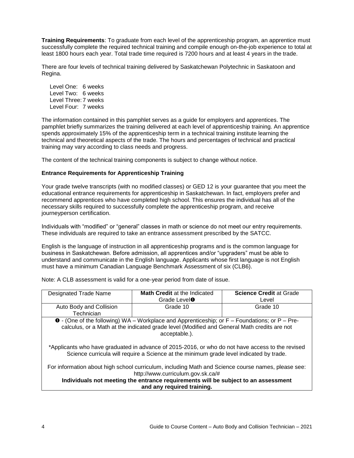**Training Requirements**: To graduate from each level of the apprenticeship program, an apprentice must successfully complete the required technical training and compile enough on-the-job experience to total at least 1800 hours each year. Total trade time required is 7200 hours and at least 4 years in the trade.

There are four levels of technical training delivered by Saskatchewan Polytechnic in Saskatoon and Regina.

Level One: 6 weeks Level Two: 6 weeks Level Three: 7 weeks Level Four: 7 weeks

The information contained in this pamphlet serves as a guide for employers and apprentices. The pamphlet briefly summarizes the training delivered at each level of apprenticeship training. An apprentice spends approximately 15% of the apprenticeship term in a technical training institute learning the technical and theoretical aspects of the trade. The hours and percentages of technical and practical training may vary according to class needs and progress.

The content of the technical training components is subject to change without notice.

#### **Entrance Requirements for Apprenticeship Training**

Your grade twelve transcripts (with no modified classes) or GED 12 is your guarantee that you meet the educational entrance requirements for apprenticeship in Saskatchewan. In fact, employers prefer and recommend apprentices who have completed high school. This ensures the individual has all of the necessary skills required to successfully complete the apprenticeship program, and receive journeyperson certification.

Individuals with "modified" or "general" classes in math or science do not meet our entry requirements. These individuals are required to take an entrance assessment prescribed by the SATCC.

English is the language of instruction in all apprenticeship programs and is the common language for business in Saskatchewan. Before admission, all apprentices and/or "upgraders" must be able to understand and communicate in the English language. Applicants whose first language is not English must have a minimum Canadian Language Benchmark Assessment of six (CLB6).

Note: A CLB assessment is valid for a one-year period from date of issue.

| <b>Designated Trade Name</b>                                                                          | <b>Math Credit at the Indicated</b> | <b>Science Credit at Grade</b> |  |  |
|-------------------------------------------------------------------------------------------------------|-------------------------------------|--------------------------------|--|--|
|                                                                                                       | Grade Level <sup>O</sup>            | Level                          |  |  |
| Auto Body and Collision                                                                               | Grade 10                            | Grade 10                       |  |  |
| Technician                                                                                            |                                     |                                |  |  |
| $\bullet$ - (One of the following) WA – Workplace and Apprenticeship; or F – Foundations; or P – Pre- |                                     |                                |  |  |
| calculus, or a Math at the indicated grade level (Modified and General Math credits are not           |                                     |                                |  |  |
|                                                                                                       | acceptable.).                       |                                |  |  |
|                                                                                                       |                                     |                                |  |  |
| *Applicants who have graduated in advance of 2015-2016, or who do not have access to the revised      |                                     |                                |  |  |

Science curricula will require a Science at the minimum grade level indicated by trade.

For information about high school curriculum, including Math and Science course names, please see: http://www.curriculum.gov.sk.ca/#

**Individuals not meeting the entrance requirements will be subject to an assessment and any required training.**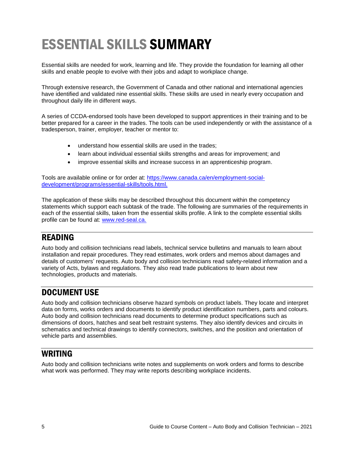## ESSENTIAL SKILLS SUMMARY

Essential skills are needed for work, learning and life. They provide the foundation for learning all other skills and enable people to evolve with their jobs and adapt to workplace change.

Through extensive research, the Government of Canada and other national and international agencies have identified and validated nine essential skills. These skills are used in nearly every occupation and throughout daily life in different ways.

A series of CCDA-endorsed tools have been developed to support apprentices in their training and to be better prepared for a career in the trades. The tools can be used independently or with the assistance of a tradesperson, trainer, employer, teacher or mentor to:

- understand how essential skills are used in the trades;
- learn about individual essential skills strengths and areas for improvement; and
- improve essential skills and increase success in an apprenticeship program.

Tools are available online or for order at: [https://www.canada.ca/en/employment-social](https://www.canada.ca/en/employment-social-development/programs/essential-skills/tools.html)[development/programs/essential-skills/tools.html.](https://www.canada.ca/en/employment-social-development/programs/essential-skills/tools.html)

The application of these skills may be described throughout this document within the competency statements which support each subtask of the trade. The following are summaries of the requirements in each of the essential skills, taken from the essential skills profile. A link to the complete essential skills profile can be found at: [www.red-seal.ca.](http://www.red-seal.ca/)

### READING

Auto body and collision technicians read labels, technical service bulletins and manuals to learn about installation and repair procedures. They read estimates, work orders and memos about damages and details of customers' requests. Auto body and collision technicians read safety-related information and a variety of Acts, bylaws and regulations. They also read trade publications to learn about new technologies, products and materials.

### DOCUMENT USE

Auto body and collision technicians observe hazard symbols on product labels. They locate and interpret data on forms, works orders and documents to identify product identification numbers, parts and colours. Auto body and collision technicians read documents to determine product specifications such as dimensions of doors, hatches and seat belt restraint systems. They also identify devices and circuits in schematics and technical drawings to identify connectors, switches, and the position and orientation of vehicle parts and assemblies.

### WRITING

Auto body and collision technicians write notes and supplements on work orders and forms to describe what work was performed. They may write reports describing workplace incidents.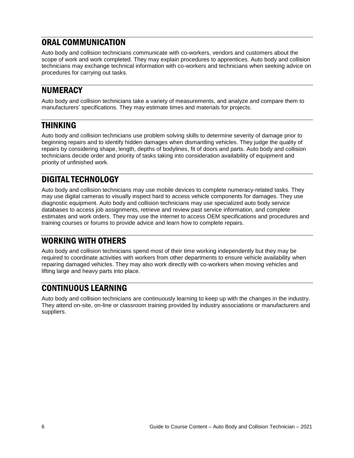### ORAL COMMUNICATION

Auto body and collision technicians communicate with co-workers, vendors and customers about the scope of work and work completed. They may explain procedures to apprentices. Auto body and collision technicians may exchange technical information with co-workers and technicians when seeking advice on procedures for carrying out tasks.

### NUMERACY

Auto body and collision technicians take a variety of measurements, and analyze and compare them to manufacturers' specifications. They may estimate times and materials for projects.

### THINKING

Auto body and collision technicians use problem solving skills to determine severity of damage prior to beginning repairs and to identify hidden damages when dismantling vehicles. They judge the quality of repairs by considering shape, length, depths of bodylines, fit of doors and parts. Auto body and collision technicians decide order and priority of tasks taking into consideration availability of equipment and priority of unfinished work.

### DIGITAL TECHNOLOGY

Auto body and collision technicians may use mobile devices to complete numeracy-related tasks. They may use digital cameras to visually inspect hard to access vehicle components for damages. They use diagnostic equipment. Auto body and collision technicians may use specialized auto body service databases to access job assignments, retrieve and review past service information, and complete estimates and work orders. They may use the internet to access OEM specifications and procedures and training courses or forums to provide advice and learn how to complete repairs.

### WORKING WITH OTHERS

Auto body and collision technicians spend most of their time working independently but they may be required to coordinate activities with workers from other departments to ensure vehicle availability when repairing damaged vehicles. They may also work directly with co-workers when moving vehicles and lifting large and heavy parts into place.

### CONTINUOUS LEARNING

Auto body and collision technicians are continuously learning to keep up with the changes in the industry. They attend on-site, on-line or classroom training provided by industry associations or manufacturers and suppliers.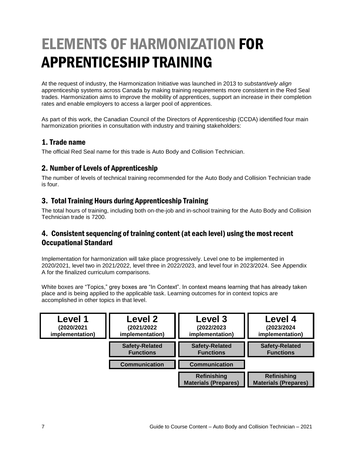## ELEMENTS OF HARMONIZATION FOR APPRENTICESHIP TRAINING

At the request of industry, the Harmonization Initiative was launched in 2013 to *substantively align* apprenticeship systems across Canada by making training requirements more consistent in the Red Seal trades. Harmonization aims to improve the mobility of apprentices, support an increase in their completion rates and enable employers to access a larger pool of apprentices.

As part of this work, the Canadian Council of the Directors of Apprenticeship (CCDA) identified four main harmonization priorities in consultation with industry and training stakeholders:

#### 1. Trade name

The official Red Seal name for this trade is Auto Body and Collision Technician.

#### 2. Number of Levels of Apprenticeship

The number of levels of technical training recommended for the Auto Body and Collision Technician trade is four.

#### 3. Total Training Hours during Apprenticeship Training

The total hours of training, including both on-the-job and in-school training for the Auto Body and Collision Technician trade is 7200.

#### 4. Consistent sequencing of training content (at each level) using the most recent Occupational Standard

Implementation for harmonization will take place progressively. Level one to be implemented in 2020/2021, level two in 2021/2022, level three in 2022/2023, and level four in 2023/2024. See Appendix A for the finalized curriculum comparisons.

White boxes are "Topics," grey boxes are "In Context". In context means learning that has already taken place and is being applied to the applicable task. Learning outcomes for in context topics are accomplished in other topics in that level.

| Level 1         | <b>Level 2</b>        | Level 3                                    | Level 4                                           |
|-----------------|-----------------------|--------------------------------------------|---------------------------------------------------|
| (2020/2021      | (2021/2022            | (2022/2023                                 | (2023/2024                                        |
| implementation) | implementation)       | implementation)                            | implementation)                                   |
|                 | <b>Safety-Related</b> | <b>Safety-Related</b>                      | <b>Safety-Related</b>                             |
|                 | <b>Functions</b>      | <b>Functions</b>                           | <b>Functions</b>                                  |
|                 | <b>Communication</b>  | <b>Communication</b>                       |                                                   |
|                 |                       | Refinishing<br><b>Materials (Prepares)</b> | <b>Refinishing</b><br><b>Materials (Prepares)</b> |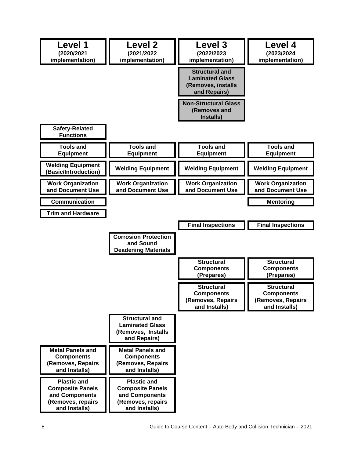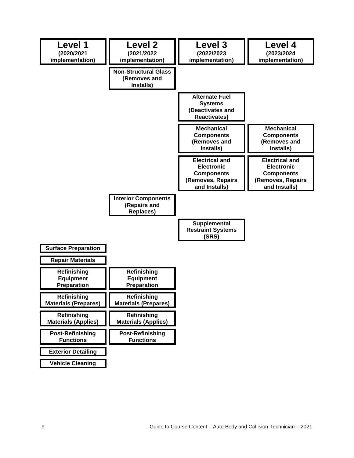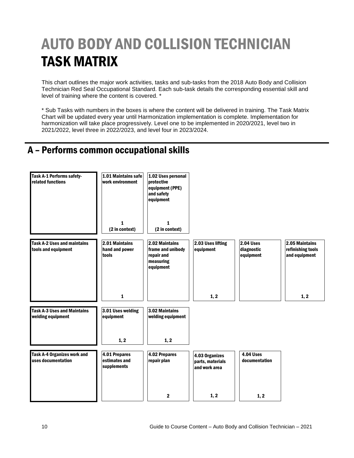## AUTO BODY AND COLLISION TECHNICIAN TASK MATRIX

This chart outlines the major work activities, tasks and sub-tasks from the 2018 Auto Body and Collision Technician Red Seal Occupational Standard. Each sub-task details the corresponding essential skill and level of training where the content is covered. \*

\* Sub Tasks with numbers in the boxes is where the content will be delivered in training. The Task Matrix Chart will be updated every year until Harmonization implementation is complete. Implementation for harmonization will take place progressively. Level one to be implemented in 2020/2021, level two in 2021/2022, level three in 2022/2023, and level four in 2023/2024.

## A – Performs common occupational skills

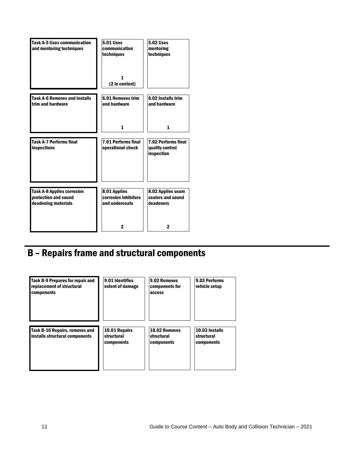| <b>Task A-5 Uses communication</b><br>and mentoring techniques                   | <b>5.01 Uses</b><br>communication<br>techniques        | <b>5.02 Uses</b><br>mentoring<br>techniques                 |
|----------------------------------------------------------------------------------|--------------------------------------------------------|-------------------------------------------------------------|
|                                                                                  | 1<br>(2 in context)                                    |                                                             |
| <b>Task A-6 Removes and installs</b><br>trim and hardware                        | <b>6.01 Removes trim</b><br>and hardware               | 6.02 Installs trim<br>and hardware                          |
|                                                                                  | $\mathbf{1}$                                           | 1                                                           |
| <b>Task A-7 Performs final</b><br>inspections                                    | 7.01 Performs final<br>operational check               | <b>7.02 Performs final</b><br>quality control<br>inspection |
| <b>Task A-8 Applies corrosion</b><br>protection and sound<br>deadening materials | 8.01 Applies<br>corrosion inhibitors<br>and undercoats | 8.02 Applies seam<br>sealers and sound<br>deadeners         |
|                                                                                  | 2                                                      | $\mathbf 2$                                                 |

## B – Repairs frame and structural components

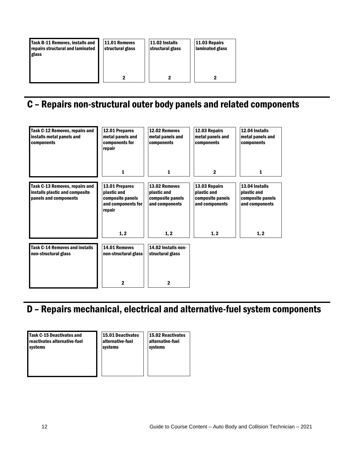| Task B-11 Removes, installs and<br>repairs structural and laminated<br>glass | 11.01 Removes<br>structural glass | 11.02 Installs<br>structural glass | 11.03 Repairs<br>laminated glass |
|------------------------------------------------------------------------------|-----------------------------------|------------------------------------|----------------------------------|
|                                                                              |                                   |                                    |                                  |

## C – Repairs non-structural outer body panels and related components

| Task C-12 Removes, repairs and<br>installs metal panels and<br>components                 | 12.01 Prepares<br>metal panels and<br>components for<br>repair                    | 12.02 Removes<br>metal panels and<br>components                    | 12.03 Repairs<br>metal panels and<br>components                    | 12.04 Installs<br>metal panels and<br>components                    |
|-------------------------------------------------------------------------------------------|-----------------------------------------------------------------------------------|--------------------------------------------------------------------|--------------------------------------------------------------------|---------------------------------------------------------------------|
|                                                                                           | 1                                                                                 | 1                                                                  | $\mathbf{2}$                                                       | 1                                                                   |
| Task C-13 Removes, repairs and<br>installs plastic and composite<br>panels and components | 13.01 Prepares<br>plastic and<br>composite panels<br>and components for<br>repair | 13.02 Removes<br>plastic and<br>composite panels<br>and components | 13.03 Repairs<br>plastic and<br>composite panels<br>and components | 13.04 Installs<br>plastic and<br>composite panels<br>and components |
|                                                                                           | 1, 2                                                                              | 1, 2                                                               | 1, 2                                                               | 1, 2                                                                |
| <b>Task C-14 Removes and installs</b><br>non-structural glass                             | 14.01 Removes<br>non-structural glass                                             | 14.02 Installs non-<br>structural glass                            |                                                                    |                                                                     |
|                                                                                           | 2                                                                                 | 2                                                                  |                                                                    |                                                                     |

## D – Repairs mechanical, electrical and alternative-fuel system components

Task C-15 Deactivates and reactivates alternative-fuel systems

15.01 Deactivates alternative-fuel systems

15.02 Reactivates alternative-fuel systems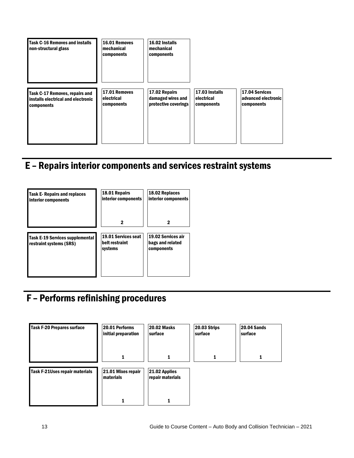

## E – Repairs interior components and services restraint systems



## F – Performs refinishing procedures

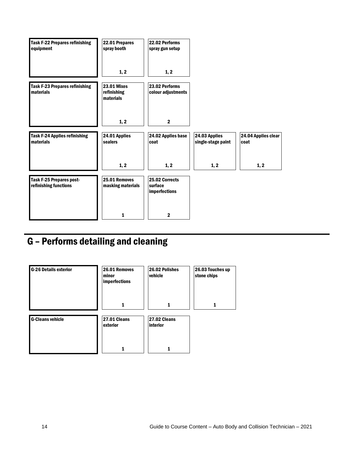| <b>Task F-22 Prepares refinishing</b><br>equipment | 22.01 Prepares<br>spray booth                  | 22.02 Performs<br>spray gun setup                 |                                     |                             |
|----------------------------------------------------|------------------------------------------------|---------------------------------------------------|-------------------------------------|-----------------------------|
|                                                    | 1, 2                                           | 1, 2                                              |                                     |                             |
| <b>Task F-23 Prepares refinishing</b><br>materials | <b>23.01 Mixes</b><br>refinishing<br>materials | 23.02 Performs<br>colour adjustments              |                                     |                             |
|                                                    | 1, 2                                           | $\mathbf{2}$                                      |                                     |                             |
| <b>Task F-24 Applies refinishing</b><br>materials  | 24.01 Applies<br>sealers                       | 24.02 Applies base<br>coat                        | 24.03 Applies<br>single-stage paint | 24.04 Applies clear<br>coat |
|                                                    | 1, 2                                           | 1, 2                                              | 1, 2                                | 1, 2                        |
| Task F-25 Prepares post-<br>refinishing functions  | 25.01 Removes<br>masking materials             | 25.02 Corrects<br>surface<br><b>imperfections</b> |                                     |                             |
|                                                    | 1                                              | $\mathbf{2}$                                      |                                     |                             |

## G – Performs detailing and cleaning

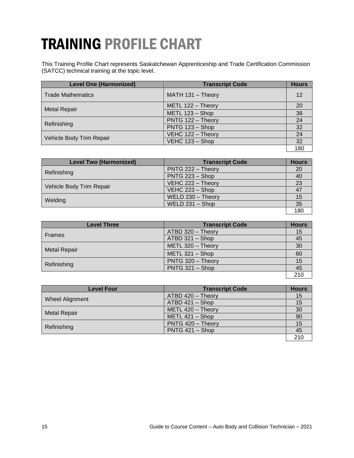## TRAINING PROFILE CHART

This Training Profile Chart represents Saskatchewan Apprenticeship and Trade Certification Commission (SATCC) technical training at the topic level.

| <b>Level One (Harmonized)</b> | <b>Transcript Code</b> | <b>Hours</b> |
|-------------------------------|------------------------|--------------|
| <b>Trade Mathematics</b>      | MATH 131 - Theory      | 12           |
|                               | METL 122 - Theory      | 20           |
| <b>Metal Repair</b>           | METL 123 - Shop        | 36           |
| Refinishing                   | PNTG 122 - Theory      | 24           |
|                               | PNTG 123 - Shop        | 32           |
| Vehicle Body Trim Repair      | VEHC 122 - Theory      | 24           |
|                               | VEHC 123 - Shop        | 32           |
|                               |                        | 180          |

| <b>Level Two (Harmonized)</b> | <b>Transcript Code</b> | <b>Hours</b> |
|-------------------------------|------------------------|--------------|
| Refinishing                   | PNTG 222 - Theory      | 20           |
|                               | PNTG 223 - Shop        | 40           |
| Vehicle Body Trim Repair      | VEHC 222 - Theory      | 23           |
|                               | VEHC $223 -$ Shop      |              |
| Welding                       | WELD 230 - Theory      | 15           |
|                               | WELD $231 -$ Shop      | 35           |
|                               |                        | 180          |

| <b>Level Three</b>  | <b>Transcript Code</b> | <b>Hours</b> |
|---------------------|------------------------|--------------|
| Frames              | ATBD 320 - Theory      | 15           |
|                     | ATBD 321 - Shop        | 45           |
| <b>Metal Repair</b> | METL 320 - Theory      | 30           |
|                     | METL 321 - Shop        | 60           |
| Refinishing         | PNTG 320 - Theory      | 15           |
|                     | PNTG 321 - Shop        | 45           |
|                     |                        | 210          |

| <b>Level Four</b>   | <b>Transcript Code</b> | <b>Hours</b> |
|---------------------|------------------------|--------------|
|                     | ATBD 420 - Theory      | 15           |
| Wheel Alignment     | ATBD 421 - Shop        | 15           |
| <b>Metal Repair</b> | METL 420 - Theory      | 30           |
|                     | METL 421 - Shop        | 90           |
| Refinishing         | PNTG 420 - Theory      | 15           |
|                     | $PNTG 421 - Shop$      | 45           |
|                     |                        | 21(          |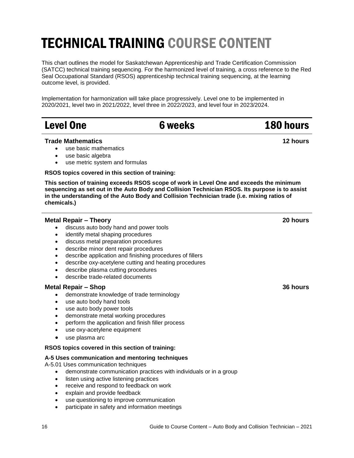## TECHNICAL TRAINING COURSE CONTENT

This chart outlines the model for Saskatchewan Apprenticeship and Trade Certification Commission (SATCC) technical training sequencing. For the harmonized level of training, a cross reference to the Red Seal Occupational Standard (RSOS) apprenticeship technical training sequencing, at the learning outcome level, is provided.

Implementation for harmonization will take place progressively. Level one to be implemented in 2020/2021, level two in 2021/2022, level three in 2022/2023, and level four in 2023/2024.

| <b>Level One</b> |  |
|------------------|--|
|                  |  |

#### **Trade Mathematics**

- use basic mathematics
- use basic algebra
- use metric system and formulas

**RSOS topics covered in this section of training:**

**This section of training exceeds RSOS scope of work in Level One and exceeds the minimum sequencing as set out in the Auto Body and Collision Technician RSOS. Its purpose is to assist in the understanding of the Auto Body and Collision Technician trade (i.e. mixing ratios of chemicals.)**

#### **Metal Repair – Theory**

- discuss auto body hand and power tools
- identify metal shaping procedures
- discuss metal preparation procedures
- describe minor dent repair procedures
- describe application and finishing procedures of fillers
- describe oxy-acetylene cutting and heating procedures
- describe plasma cutting procedures
- describe trade-related documents

#### **Metal Repair – Shop**

- demonstrate knowledge of trade terminology
- use auto body hand tools
- use auto body power tools
- demonstrate metal working procedures
- perform the application and finish filler process
- use oxy-acetylene equipment
- use plasma arc

#### **RSOS topics covered in this section of training:**

#### **A-5 Uses communication and mentoring techniques**

A-5.01 Uses communication techniques

- demonstrate communication practices with individuals or in a group
- listen using active listening practices
- receive and respond to feedback on work
- explain and provide feedback
- use questioning to improve communication
- participate in safety and information meetings

#### **36 hours**

### 6 weeks 180 hours

**12 hours**

**20 hours**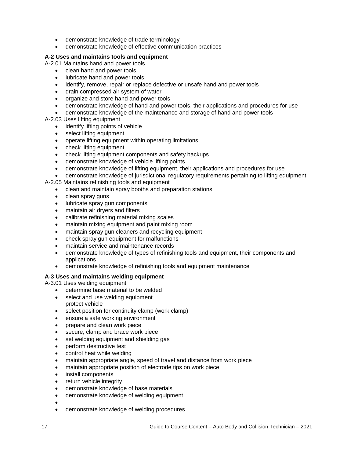- demonstrate knowledge of trade terminology
- demonstrate knowledge of effective communication practices

#### **A-2 Uses and maintains tools and equipment**

A-2.01 Maintains hand and power tools

- clean hand and power tools
- lubricate hand and power tools
- identify, remove, repair or replace defective or unsafe hand and power tools
- drain compressed air system of water
- organize and store hand and power tools
- demonstrate knowledge of hand and power tools, their applications and procedures for use
- demonstrate knowledge of the maintenance and storage of hand and power tools

#### A-2.03 Uses lifting equipment

- identify lifting points of vehicle
- select lifting equipment
- operate lifting equipment within operating limitations
- check lifting equipment
- check lifting equipment components and safety backups
- demonstrate knowledge of vehicle lifting points
- demonstrate knowledge of lifting equipment, their applications and procedures for use
- demonstrate knowledge of jurisdictional regulatory requirements pertaining to lifting equipment

A-2.05 Maintains refinishing tools and equipment

- clean and maintain spray booths and preparation stations
- clean spray guns
- lubricate spray gun components
- maintain air dryers and filters
- calibrate refinishing material mixing scales
- maintain mixing equipment and paint mixing room
- maintain spray gun cleaners and recycling equipment
- check spray gun equipment for malfunctions
- maintain service and maintenance records
- demonstrate knowledge of types of refinishing tools and equipment, their components and applications
- demonstrate knowledge of refinishing tools and equipment maintenance

#### **A-3 Uses and maintains welding equipment**

A-3.01 Uses welding equipment

- determine base material to be welded
- select and use welding equipment
- protect vehicle
- select position for continuity clamp (work clamp)
- ensure a safe working environment
- prepare and clean work piece
- secure, clamp and brace work piece
- set welding equipment and shielding gas
- perform destructive test
- control heat while welding
- maintain appropriate angle, speed of travel and distance from work piece
- maintain appropriate position of electrode tips on work piece
- install components
- return vehicle integrity
- demonstrate knowledge of base materials
- demonstrate knowledge of welding equipment
- $\bullet$
- demonstrate knowledge of welding procedures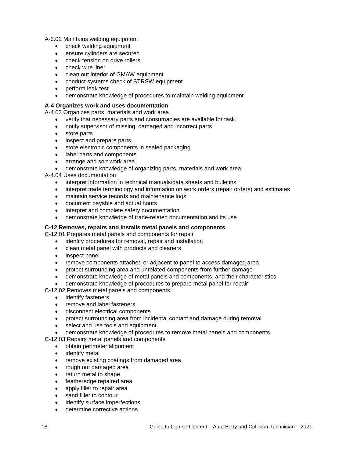A-3.02 Maintains welding equipment

- check welding equipment
- ensure cylinders are secured
- check tension on drive rollers
- check wire liner
- clean out interior of GMAW equipment
- conduct systems check of STRSW equipment
- perform leak test
- demonstrate knowledge of procedures to maintain welding equipment

#### **A-4 Organizes work and uses documentation**

A-4.03 Organizes parts, materials and work area

- verify that necessary parts and consumables are available for task
- notify supervisor of missing, damaged and incorrect parts
- store parts
- inspect and prepare parts
- store electronic components in sealed packaging
- label parts and components
- arrange and sort work area
- demonstrate knowledge of organizing parts, materials and work area

A-4.04 Uses documentation

- interpret information in technical manuals/data sheets and bulletins
- interpret trade terminology and information on work orders (repair orders) and estimates
- maintain service records and maintenance logs
- document payable and actual hours
- interpret and complete safety documentation
- demonstrate knowledge of trade-related documentation and its use

#### **C-12 Removes, repairs and installs metal panels and components**

C-12.01 Prepares metal panels and components for repair

- identify procedures for removal, repair and installation
- clean metal panel with products and cleaners
- inspect panel
- remove components attached or adjacent to panel to access damaged area
- protect surrounding area and unrelated components from further damage
- demonstrate knowledge of metal panels and components, and their characteristics
- demonstrate knowledge of procedures to prepare metal panel for repair

C-12.02 Removes metal panels and components

- identify fasteners
- remove and label fasteners
- disconnect electrical components
- protect surrounding area from incidental contact and damage during removal
- select and use tools and equipment
- demonstrate knowledge of procedures to remove metal panels and components

C-12.03 Repairs metal panels and components

- obtain perimeter alignment
- identify metal
- remove existing coatings from damaged area
- rough out damaged area
- return metal to shape
- featheredge repaired area
- apply filler to repair area
- sand filler to contour
- identify surface imperfections
- determine corrective actions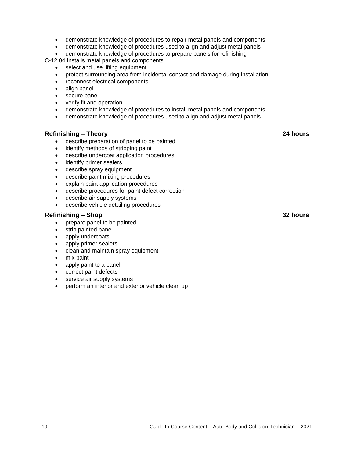- demonstrate knowledge of procedures to repair metal panels and components
- demonstrate knowledge of procedures used to align and adjust metal panels
- demonstrate knowledge of procedures to prepare panels for refinishing

C-12.04 Installs metal panels and components

- select and use lifting equipment
- protect surrounding area from incidental contact and damage during installation
- reconnect electrical components
- align panel
- secure panel
- verify fit and operation
- demonstrate knowledge of procedures to install metal panels and components
- demonstrate knowledge of procedures used to align and adjust metal panels

#### **Refinishing – Theory**

- describe preparation of panel to be painted
- identify methods of stripping paint
- describe undercoat application procedures
- identify primer sealers
- describe spray equipment
- describe paint mixing procedures
- explain paint application procedures
- describe procedures for paint defect correction
- describe air supply systems
- describe vehicle detailing procedures

#### **Refinishing – Shop**

- prepare panel to be painted
- strip painted panel
- apply undercoats
- apply primer sealers
- clean and maintain spray equipment
- mix paint
- apply paint to a panel
- correct paint defects
- service air supply systems
- perform an interior and exterior vehicle clean up

**24 hours**

**32 hours**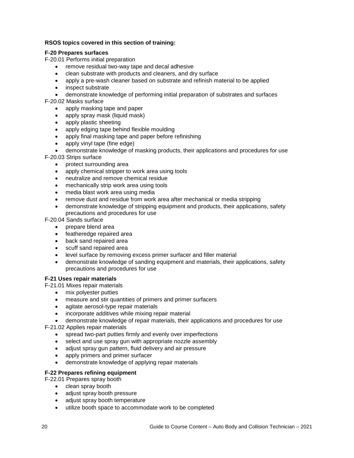#### **RSOS topics covered in this section of training:**

#### **F-20 Prepares surfaces**

F-20.01 Performs initial preparation

- remove residual two-way tape and decal adhesive
- clean substrate with products and cleaners, and dry surface
- apply a pre-wash cleaner based on substrate and refinish material to be applied
- inspect substrate
- demonstrate knowledge of performing initial preparation of substrates and surfaces

F-20.02 Masks surface

- apply masking tape and paper
- apply spray mask (liquid mask)
- apply plastic sheeting
- apply edging tape behind flexible moulding
- apply final masking tape and paper before refinishing
- apply vinyl tape (fine edge)
- demonstrate knowledge of masking products, their applications and procedures for use

F-20.03 Strips surface

- protect surrounding area
- apply chemical stripper to work area using tools
- neutralize and remove chemical residue
- mechanically strip work area using tools
- media blast work area using media
- remove dust and residue from work area after mechanical or media stripping
- demonstrate knowledge of stripping equipment and products, their applications, safety precautions and procedures for use

F-20.04 Sands surface

- prepare blend area
- featheredge repaired area
- back sand repaired area
- scuff sand repaired area
- level surface by removing excess primer surfacer and filler material
- demonstrate knowledge of sanding equipment and materials, their applications, safety precautions and procedures for use

#### **F-21 Uses repair materials**

F-21.01 Mixes repair materials

- mix polyester putties
- measure and stir quantities of primers and primer surfacers
- agitate aerosol-type repair materials
- incorporate additives while mixing repair material
- demonstrate knowledge of repair materials, their applications and procedures for use

F-21.02 Applies repair materials

- spread two-part putties firmly and evenly over imperfections
- select and use spray gun with appropriate nozzle assembly
- adjust spray gun pattern, fluid delivery and air pressure
- apply primers and primer surfacer
- demonstrate knowledge of applying repair materials

#### **F-22 Prepares refining equipment**

- F-22.01 Prepares spray booth
	- clean spray booth
	- adjust spray booth pressure
	- adjust spray booth temperature
	- utilize booth space to accommodate work to be completed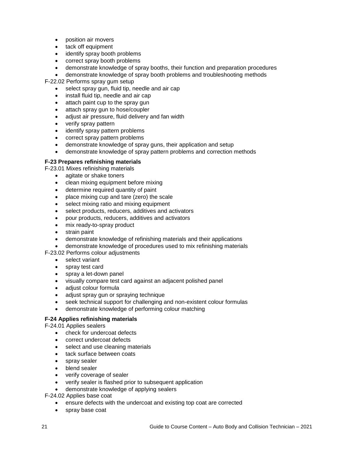- position air movers
- tack off equipment
- identify spray booth problems
- correct spray booth problems
- demonstrate knowledge of spray booths, their function and preparation procedures
- demonstrate knowledge of spray booth problems and troubleshooting methods

F-22.02 Performs spray gum setup

- select spray gun, fluid tip, needle and air cap
- install fluid tip, needle and air cap
- attach paint cup to the spray gun
- attach spray gun to hose/coupler
- adjust air pressure, fluid delivery and fan width
- verify spray pattern
- identify spray pattern problems
- correct spray pattern problems
- demonstrate knowledge of spray guns, their application and setup
- demonstrate knowledge of spray pattern problems and correction methods

#### **F-23 Prepares refinishing materials**

- F-23.01 Mixes refinishing materials
	- agitate or shake toners
	- clean mixing equipment before mixing
	- determine required quantity of paint
	- place mixing cup and tare (zero) the scale
	- select mixing ratio and mixing equipment
	- select products, reducers, additives and activators
	- pour products, reducers, additives and activators
	- mix ready-to-spray product
	- strain paint
	- demonstrate knowledge of refinishing materials and their applications
	- demonstrate knowledge of procedures used to mix refinishing materials

F-23.02 Performs colour adjustments

- select variant
- spray test card
- spray a let-down panel
- visually compare test card against an adjacent polished panel
- adjust colour formula
- adjust spray gun or spraying technique
- seek technical support for challenging and non-existent colour formulas
- demonstrate knowledge of performing colour matching

#### **F-24 Applies refinishing materials**

F-24.01 Applies sealers

- check for undercoat defects
- correct undercoat defects
- select and use cleaning materials
- tack surface between coats
- spray sealer
- blend sealer
- verify coverage of sealer
- verify sealer is flashed prior to subsequent application
- demonstrate knowledge of applying sealers

F-24.02 Applies base coat

- ensure defects with the undercoat and existing top coat are corrected
- spray base coat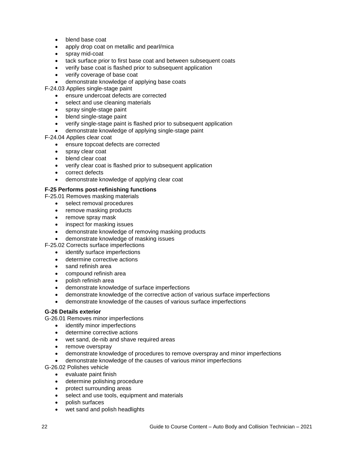- blend base coat
- apply drop coat on metallic and pearl/mica
- spray mid-coat
- tack surface prior to first base coat and between subsequent coats
- verify base coat is flashed prior to subsequent application
- verify coverage of base coat
- demonstrate knowledge of applying base coats

F-24.03 Applies single-stage paint

- ensure undercoat defects are corrected
- select and use cleaning materials
- spray single-stage paint
- blend single-stage paint
- verify single-stage paint is flashed prior to subsequent application
- demonstrate knowledge of applying single-stage paint

F-24.04 Applies clear coat

- ensure topcoat defects are corrected
- spray clear coat
- blend clear coat
- verify clear coat is flashed prior to subsequent application
- correct defects
- demonstrate knowledge of applying clear coat

#### **F-25 Performs post-refinishing functions**

F-25.01 Removes masking materials

- select removal procedures
- remove masking products
- remove spray mask
- inspect for masking issues
- demonstrate knowledge of removing masking products
- demonstrate knowledge of masking issues
- F-25.02 Corrects surface imperfections
	- identify surface imperfections
	- determine corrective actions
	- sand refinish area
	- compound refinish area
	- polish refinish area
	- demonstrate knowledge of surface imperfections
	- demonstrate knowledge of the corrective action of various surface imperfections
	- demonstrate knowledge of the causes of various surface imperfections

#### **G-26 Details exterior**

G-26.01 Removes minor imperfections

- identify minor imperfections
- determine corrective actions
- wet sand, de-nib and shave required areas
- remove overspray
- demonstrate knowledge of procedures to remove overspray and minor imperfections
- demonstrate knowledge of the causes of various minor imperfections

G-26.02 Polishes vehicle

- evaluate paint finish
- determine polishing procedure
- protect surrounding areas
- select and use tools, equipment and materials
- polish surfaces
- wet sand and polish headlights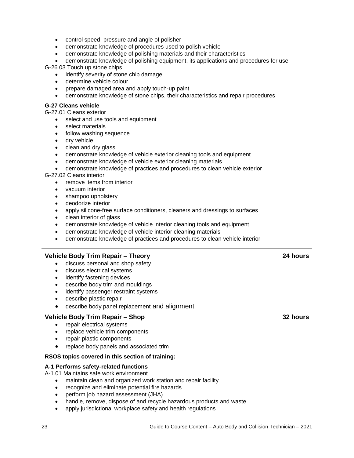- control speed, pressure and angle of polisher
- demonstrate knowledge of procedures used to polish vehicle
- demonstrate knowledge of polishing materials and their characteristics
- demonstrate knowledge of polishing equipment, its applications and procedures for use G-26.03 Touch up stone chips
	- identify severity of stone chip damage
	- determine vehicle colour
	- prepare damaged area and apply touch-up paint
	- demonstrate knowledge of stone chips, their characteristics and repair procedures

#### **G-27 Cleans vehicle**

G-27.01 Cleans exterior

- select and use tools and equipment
- select materials
- follow washing sequence
- dry vehicle
- clean and dry glass
- demonstrate knowledge of vehicle exterior cleaning tools and equipment
- demonstrate knowledge of vehicle exterior cleaning materials
- demonstrate knowledge of practices and procedures to clean vehicle exterior

G-27.02 Cleans interior

- remove items from interior
- vacuum interior
- shampoo upholstery
- deodorize interior
- apply silicone-free surface conditioners, cleaners and dressings to surfaces
- clean interior of glass
- demonstrate knowledge of vehicle interior cleaning tools and equipment
- demonstrate knowledge of vehicle interior cleaning materials
- demonstrate knowledge of practices and procedures to clean vehicle interior

#### **Vehicle Body Trim Repair – Theory**

- discuss personal and shop safety
- discuss electrical systems
- identify fastening devices
- describe body trim and mouldings
- identify passenger restraint systems
- describe plastic repair
- describe body panel replacement and alignment

#### **Vehicle Body Trim Repair – Shop**

- repair electrical systems
- replace vehicle trim components
- repair plastic components
- replace body panels and associated trim

#### **RSOS topics covered in this section of training:**

#### **A-1 Performs safety-related functions**

A-1.01 Maintains safe work environment

- maintain clean and organized work station and repair facility
- recognize and eliminate potential fire hazards
- perform job hazard assessment (JHA)
- handle, remove, dispose of and recycle hazardous products and waste
- apply jurisdictional workplace safety and health regulations

#### **32 hours**

**24 hours**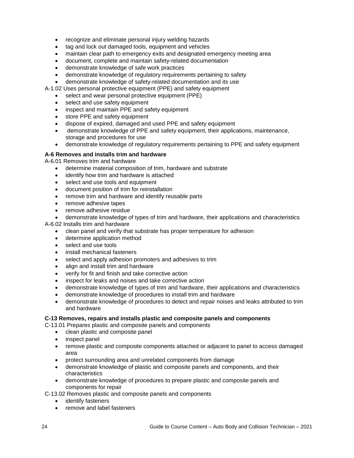- recognize and eliminate personal injury welding hazards
- tag and lock out damaged tools, equipment and vehicles
- maintain clear path to emergency exits and designated emergency meeting area
- document, complete and maintain safety-related documentation
- demonstrate knowledge of safe work practices
- demonstrate knowledge of regulatory requirements pertaining to safety
- demonstrate knowledge of safety-related documentation and its use
- A-1.02 Uses personal protective equipment (PPE) and safety equipment
	- select and wear personal protective equipment (PPE)
	- select and use safety equipment
	- inspect and maintain PPE and safety equipment
	- store PPE and safety equipment
	- dispose of expired, damaged and used PPE and safety equipment
	- demonstrate knowledge of PPE and safety equipment, their applications, maintenance, storage and procedures for use
	- demonstrate knowledge of regulatory requirements pertaining to PPE and safety equipment

#### **A-6 Removes and installs trim and hardware**

A-6.01 Removes trim and hardware

- determine material composition of trim, hardware and substrate
- identify how trim and hardware is attached
- select and use tools and equipment
- document position of trim for reinstallation
- remove trim and hardware and identify reusable parts
- remove adhesive tapes
- remove adhesive residue
- demonstrate knowledge of types of trim and hardware, their applications and characteristics

A-6.02 Installs trim and hardware

- clean panel and verify that substrate has proper temperature for adhesion
- determine application method
- select and use tools
- install mechanical fasteners
- select and apply adhesion promoters and adhesives to trim
- align and install trim and hardware
- verify for fit and finish and take corrective action
- inspect for leaks and noises and take corrective action
- demonstrate knowledge of types of trim and hardware, their applications and characteristics
- demonstrate knowledge of procedures to install trim and hardware
- demonstrate knowledge of procedures to detect and repair noises and leaks attributed to trim and hardware

#### **C-13 Removes, repairs and installs plastic and composite panels and components**

C-13.01 Prepares plastic and composite panels and components

- clean plastic and composite panel
- inspect panel
- remove plastic and composite components attached or adjacent to panel to access damaged area
- protect surrounding area and unrelated components from damage
- demonstrate knowledge of plastic and composite panels and components, and their characteristics
- demonstrate knowledge of procedures to prepare plastic and composite panels and components for repair

C-13.02 Removes plastic and composite panels and components

- identify fasteners
- remove and label fasteners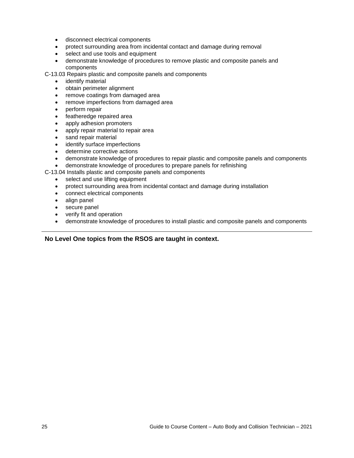- disconnect electrical components
- protect surrounding area from incidental contact and damage during removal
- select and use tools and equipment
- demonstrate knowledge of procedures to remove plastic and composite panels and components
- C-13.03 Repairs plastic and composite panels and components
	- identify material
	- obtain perimeter alignment
	- remove coatings from damaged area
	- remove imperfections from damaged area
	- perform repair
	- featheredge repaired area
	- apply adhesion promoters
	- apply repair material to repair area
	- sand repair material
	- identify surface imperfections
	- determine corrective actions
	- demonstrate knowledge of procedures to repair plastic and composite panels and components
	- demonstrate knowledge of procedures to prepare panels for refinishing
- C-13.04 Installs plastic and composite panels and components
	- select and use lifting equipment
	- protect surrounding area from incidental contact and damage during installation
	- connect electrical components
	- align panel
	- secure panel
	- verify fit and operation
	- demonstrate knowledge of procedures to install plastic and composite panels and components

#### **No Level One topics from the RSOS are taught in context.**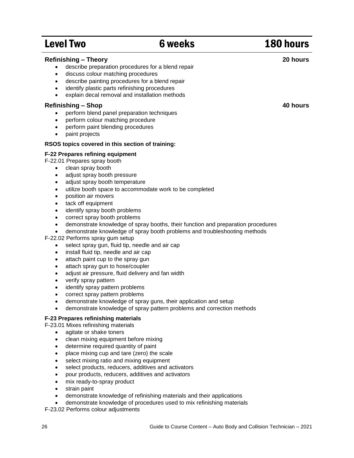## Level Two **6 weeks** 180 hours

| <b>Refinishing - Theory</b><br>describe preparation procedures for a blend repair<br>discuss colour matching procedures<br>$\bullet$<br>describe painting procedures for a blend repair<br>$\bullet$<br>identify plastic parts refinishing procedures<br>$\bullet$<br>explain decal removal and installation methods<br>$\bullet$                                                                                                                                                                                                                                                                                                                                                                                                                                                                                                                                                                                                                                                                                                                                                                                                                                                                                                                                     | 20 hours |
|-----------------------------------------------------------------------------------------------------------------------------------------------------------------------------------------------------------------------------------------------------------------------------------------------------------------------------------------------------------------------------------------------------------------------------------------------------------------------------------------------------------------------------------------------------------------------------------------------------------------------------------------------------------------------------------------------------------------------------------------------------------------------------------------------------------------------------------------------------------------------------------------------------------------------------------------------------------------------------------------------------------------------------------------------------------------------------------------------------------------------------------------------------------------------------------------------------------------------------------------------------------------------|----------|
| <b>Refinishing - Shop</b><br>perform blend panel preparation techniques<br>perform colour matching procedure<br>$\bullet$<br>perform paint blending procedures<br>$\bullet$<br>paint projects<br>$\bullet$                                                                                                                                                                                                                                                                                                                                                                                                                                                                                                                                                                                                                                                                                                                                                                                                                                                                                                                                                                                                                                                            | 40 hours |
| RSOS topics covered in this section of training:                                                                                                                                                                                                                                                                                                                                                                                                                                                                                                                                                                                                                                                                                                                                                                                                                                                                                                                                                                                                                                                                                                                                                                                                                      |          |
| F-22 Prepares refining equipment<br>F-22.01 Prepares spray booth<br>clean spray booth<br>$\bullet$<br>adjust spray booth pressure<br>$\bullet$<br>adjust spray booth temperature<br>$\bullet$<br>utilize booth space to accommodate work to be completed<br>$\bullet$<br>position air movers<br>$\bullet$<br>tack off equipment<br>$\bullet$<br>identify spray booth problems<br>$\bullet$<br>correct spray booth problems<br>$\bullet$<br>demonstrate knowledge of spray booths, their function and preparation procedures<br>$\bullet$<br>demonstrate knowledge of spray booth problems and troubleshooting methods<br>$\bullet$<br>F-22.02 Performs spray gum setup<br>select spray gun, fluid tip, needle and air cap<br>$\bullet$<br>install fluid tip, needle and air cap<br>$\bullet$<br>attach paint cup to the spray gun<br>$\bullet$<br>attach spray gun to hose/coupler<br>$\bullet$<br>adjust air pressure, fluid delivery and fan width<br>٠<br>verify spray pattern<br>$\bullet$<br>identify spray pattern problems<br>$\bullet$<br>correct spray pattern problems<br>$\bullet$<br>demonstrate knowledge of spray guns, their application and setup<br>$\bullet$<br>demonstrate knowledge of spray pattern problems and correction methods<br>$\bullet$ |          |
| F-23 Prepares refinishing materials<br>F-23.01 Mixes refinishing materials                                                                                                                                                                                                                                                                                                                                                                                                                                                                                                                                                                                                                                                                                                                                                                                                                                                                                                                                                                                                                                                                                                                                                                                            |          |

- agitate or shake toners
- clean mixing equipment before mixing
- determine required quantity of paint
- place mixing cup and tare (zero) the scale
- select mixing ratio and mixing equipment
- select products, reducers, additives and activators
- pour products, reducers, additives and activators
- mix ready-to-spray product
- strain paint
- demonstrate knowledge of refinishing materials and their applications
- demonstrate knowledge of procedures used to mix refinishing materials

F-23.02 Performs colour adjustments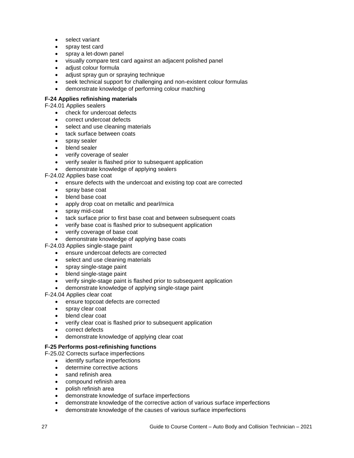- select variant
- spray test card
- spray a let-down panel
- visually compare test card against an adjacent polished panel
- adiust colour formula
- adjust spray gun or spraying technique
- seek technical support for challenging and non-existent colour formulas
- demonstrate knowledge of performing colour matching

#### **F-24 Applies refinishing materials**

F-24.01 Applies sealers

- check for undercoat defects
- correct undercoat defects
- select and use cleaning materials
- tack surface between coats
- spray sealer
- blend sealer
- verify coverage of sealer
- verify sealer is flashed prior to subsequent application
- demonstrate knowledge of applying sealers

F-24.02 Applies base coat

- ensure defects with the undercoat and existing top coat are corrected
- spray base coat
- blend base coat
- apply drop coat on metallic and pearl/mica
- spray mid-coat
- tack surface prior to first base coat and between subsequent coats
- verify base coat is flashed prior to subsequent application
- verify coverage of base coat
- demonstrate knowledge of applying base coats

F-24.03 Applies single-stage paint

- ensure undercoat defects are corrected
- select and use cleaning materials
- spray single-stage paint
- blend single-stage paint
- verify single-stage paint is flashed prior to subsequent application
- demonstrate knowledge of applying single-stage paint

F-24.04 Applies clear coat

- ensure topcoat defects are corrected
- spray clear coat
- blend clear coat
- verify clear coat is flashed prior to subsequent application
- correct defects
- demonstrate knowledge of applying clear coat

#### **F-25 Performs post-refinishing functions**

F-25.02 Corrects surface imperfections

- identify surface imperfections
- determine corrective actions
- sand refinish area
- compound refinish area
- polish refinish area
- demonstrate knowledge of surface imperfections
- demonstrate knowledge of the corrective action of various surface imperfections
- demonstrate knowledge of the causes of various surface imperfections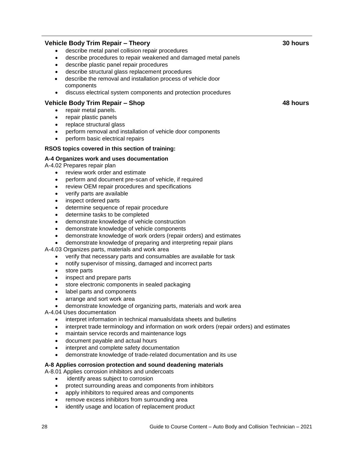#### **Vehicle Body Trim Repair – Theory**

- describe metal panel collision repair procedures
- describe procedures to repair weakened and damaged metal panels
- describe plastic panel repair procedures
- describe structural glass replacement procedures
- describe the removal and installation process of vehicle door components
- discuss electrical system components and protection procedures

#### **Vehicle Body Trim Repair – Shop**

- repair metal panels.
- repair plastic panels
- replace structural glass
- perform removal and installation of vehicle door components
- perform basic electrical repairs

#### **RSOS topics covered in this section of training:**

#### **A-4 Organizes work and uses documentation**

A-4.02 Prepares repair plan

- review work order and estimate
- perform and document pre-scan of vehicle, if required
- review OEM repair procedures and specifications
- verify parts are available
- inspect ordered parts
- determine sequence of repair procedure
- determine tasks to be completed
- demonstrate knowledge of vehicle construction
- demonstrate knowledge of vehicle components
- demonstrate knowledge of work orders (repair orders) and estimates
- demonstrate knowledge of preparing and interpreting repair plans

A-4.03 Organizes parts, materials and work area

- verify that necessary parts and consumables are available for task
- notify supervisor of missing, damaged and incorrect parts
- store parts
- inspect and prepare parts
- store electronic components in sealed packaging
- label parts and components
- arrange and sort work area
- demonstrate knowledge of organizing parts, materials and work area

A-4.04 Uses documentation

- interpret information in technical manuals/data sheets and bulletins
- interpret trade terminology and information on work orders (repair orders) and estimates
- maintain service records and maintenance logs
- document payable and actual hours
- interpret and complete safety documentation
- demonstrate knowledge of trade-related documentation and its use

#### **A-8 Applies corrosion protection and sound deadening materials**

- A-8.01 Applies corrosion inhibitors and undercoats
	- identify areas subject to corrosion
	- protect surrounding areas and components from inhibitors
	- apply inhibitors to required areas and components
	- remove excess inhibitors from surrounding area
	- identify usage and location of replacement product

**48 hours**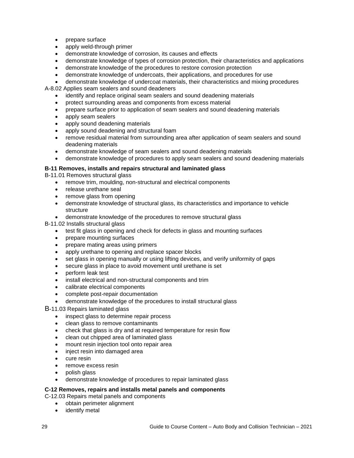- prepare surface
- apply weld-through primer
- demonstrate knowledge of corrosion, its causes and effects
- demonstrate knowledge of types of corrosion protection, their characteristics and applications
- demonstrate knowledge of the procedures to restore corrosion protection
- demonstrate knowledge of undercoats, their applications, and procedures for use
- demonstrate knowledge of undercoat materials, their characteristics and mixing procedures

A-8.02 Applies seam sealers and sound deadeners

- identify and replace original seam sealers and sound deadening materials
- protect surrounding areas and components from excess material
- prepare surface prior to application of seam sealers and sound deadening materials
- apply seam sealers
- apply sound deadening materials
- apply sound deadening and structural foam
- remove residual material from surrounding area after application of seam sealers and sound deadening materials
- demonstrate knowledge of seam sealers and sound deadening materials
- demonstrate knowledge of procedures to apply seam sealers and sound deadening materials

#### **B-11 Removes, installs and repairs structural and laminated glass**

B-11.01 Removes structural glass

- remove trim, moulding, non-structural and electrical components
- release urethane seal
- remove glass from opening
- demonstrate knowledge of structural glass, its characteristics and importance to vehicle structure
- demonstrate knowledge of the procedures to remove structural glass

B-11.02 Installs structural glass

- test fit glass in opening and check for defects in glass and mounting surfaces
- prepare mounting surfaces
- prepare mating areas using primers
- apply urethane to opening and replace spacer blocks
- set glass in opening manually or using lifting devices, and verify uniformity of gaps
- secure glass in place to avoid movement until urethane is set
- perform leak test
- install electrical and non-structural components and trim
- calibrate electrical components
- complete post-repair documentation
- demonstrate knowledge of the procedures to install structural glass

B-11.03 Repairs laminated glass

- inspect glass to determine repair process
- clean glass to remove contaminants
- check that glass is dry and at required temperature for resin flow
- clean out chipped area of laminated glass
- mount resin injection tool onto repair area
- inject resin into damaged area
- cure resin
- remove excess resin
- polish glass
- demonstrate knowledge of procedures to repair laminated glass

#### **C-12 Removes, repairs and installs metal panels and components**

C-12.03 Repairs metal panels and components

- obtain perimeter alignment
- identify metal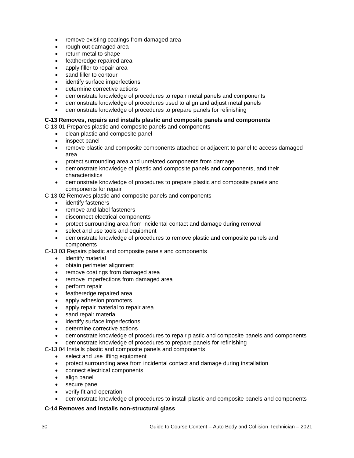- remove existing coatings from damaged area
- rough out damaged area
- return metal to shape
- featheredge repaired area
- apply filler to repair area
- sand filler to contour
- identify surface imperfections
- determine corrective actions
- demonstrate knowledge of procedures to repair metal panels and components
- demonstrate knowledge of procedures used to align and adjust metal panels
- demonstrate knowledge of procedures to prepare panels for refinishing

#### **C-13 Removes, repairs and installs plastic and composite panels and components**

C-13.01 Prepares plastic and composite panels and components

- clean plastic and composite panel
- inspect panel
- remove plastic and composite components attached or adjacent to panel to access damaged area
- protect surrounding area and unrelated components from damage
- demonstrate knowledge of plastic and composite panels and components, and their characteristics
- demonstrate knowledge of procedures to prepare plastic and composite panels and components for repair
- C-13.02 Removes plastic and composite panels and components
	- identify fasteners
	- remove and label fasteners
	- disconnect electrical components
	- protect surrounding area from incidental contact and damage during removal
	- select and use tools and equipment
	- demonstrate knowledge of procedures to remove plastic and composite panels and components

C-13.03 Repairs plastic and composite panels and components

- identify material
- obtain perimeter alignment
- remove coatings from damaged area
- remove imperfections from damaged area
- perform repair
- featheredge repaired area
- apply adhesion promoters
- apply repair material to repair area
- sand repair material
- identify surface imperfections
- determine corrective actions
- demonstrate knowledge of procedures to repair plastic and composite panels and components

demonstrate knowledge of procedures to prepare panels for refinishing

C-13.04 Installs plastic and composite panels and components

- select and use lifting equipment
- protect surrounding area from incidental contact and damage during installation
- connect electrical components
- align panel
- secure panel
- verify fit and operation
- demonstrate knowledge of procedures to install plastic and composite panels and components

#### **C-14 Removes and installs non-structural glass**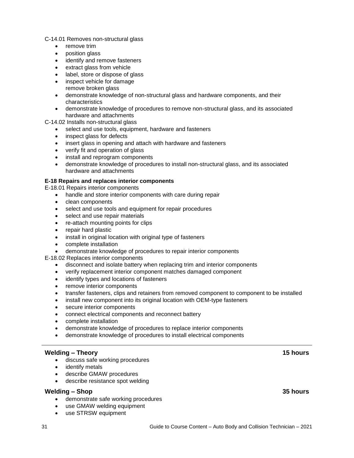C-14.01 Removes non-structural glass

- remove trim
- position glass
- identify and remove fasteners
- extract glass from vehicle
- label, store or dispose of glass
- inspect vehicle for damage
- remove broken glass
- demonstrate knowledge of non-structural glass and hardware components, and their characteristics
- demonstrate knowledge of procedures to remove non-structural glass, and its associated hardware and attachments

C-14.02 Installs non-structural glass

- select and use tools, equipment, hardware and fasteners
- inspect glass for defects
- insert glass in opening and attach with hardware and fasteners
- verify fit and operation of glass
- install and reprogram components
- demonstrate knowledge of procedures to install non-structural glass, and its associated hardware and attachments

#### **E-18 Repairs and replaces interior components**

- E-18.01 Repairs interior components
	- handle and store interior components with care during repair
	- clean components
	- select and use tools and equipment for repair procedures
	- select and use repair materials
	- re-attach mounting points for clips
	- repair hard plastic
	- install in original location with original type of fasteners
	- complete installation
	- demonstrate knowledge of procedures to repair interior components

E-18.02 Replaces interior components

- disconnect and isolate battery when replacing trim and interior components
- verify replacement interior component matches damaged component
- identify types and locations of fasteners
- remove interior components
- transfer fasteners, clips and retainers from removed component to component to be installed
- install new component into its original location with OEM-type fasteners
- secure interior components
- connect electrical components and reconnect battery
- complete installation
- demonstrate knowledge of procedures to replace interior components
- demonstrate knowledge of procedures to install electrical components

#### **Welding – Theory**

- discuss safe working procedures
- identify metals
- describe GMAW procedures
- **e** describe resistance spot welding

#### **Welding – Shop**

- demonstrate safe working procedures
- use GMAW welding equipment
- use STRSW equipment

**15 hours**

#### **35 hours**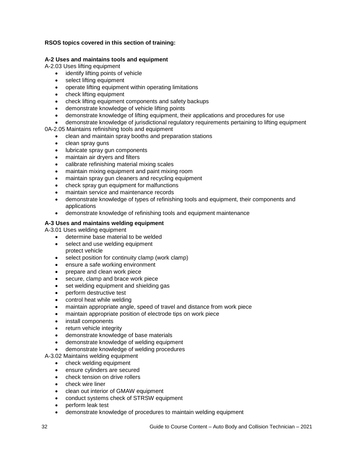#### **RSOS topics covered in this section of training:**

#### **A-2 Uses and maintains tools and equipment**

A-2.03 Uses lifting equipment

- identify lifting points of vehicle
- select lifting equipment
- operate lifting equipment within operating limitations
- check lifting equipment
- check lifting equipment components and safety backups
- demonstrate knowledge of vehicle lifting points
- demonstrate knowledge of lifting equipment, their applications and procedures for use
- demonstrate knowledge of jurisdictional regulatory requirements pertaining to lifting equipment

0A-2.05 Maintains refinishing tools and equipment

- clean and maintain spray booths and preparation stations
- clean spray guns
- lubricate spray gun components
- maintain air dryers and filters
- calibrate refinishing material mixing scales
- maintain mixing equipment and paint mixing room
- maintain spray gun cleaners and recycling equipment
- check spray gun equipment for malfunctions
- maintain service and maintenance records
- demonstrate knowledge of types of refinishing tools and equipment, their components and applications
- demonstrate knowledge of refinishing tools and equipment maintenance

#### **A-3 Uses and maintains welding equipment**

A-3.01 Uses welding equipment

- determine base material to be welded
- select and use welding equipment protect vehicle
- select position for continuity clamp (work clamp)
- ensure a safe working environment
- prepare and clean work piece
- secure, clamp and brace work piece
- set welding equipment and shielding gas
- perform destructive test
- control heat while welding
- maintain appropriate angle, speed of travel and distance from work piece
- maintain appropriate position of electrode tips on work piece
- install components
- return vehicle integrity
- demonstrate knowledge of base materials
- demonstrate knowledge of welding equipment
- demonstrate knowledge of welding procedures

A-3.02 Maintains welding equipment

- check welding equipment
- ensure cylinders are secured
- check tension on drive rollers
- check wire liner
- clean out interior of GMAW equipment
- conduct systems check of STRSW equipment
- perform leak test
- demonstrate knowledge of procedures to maintain welding equipment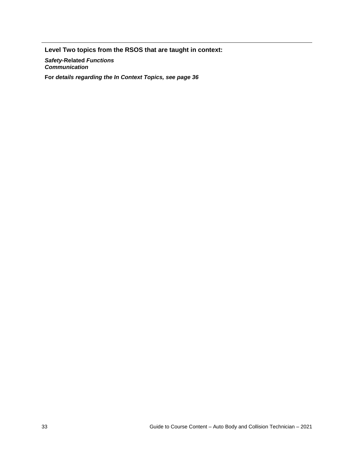**Level Two topics from the RSOS that are taught in context:**

*Safety-***Related** *Functions Communication*

**For** *details regarding the In Context Topics, see page 36*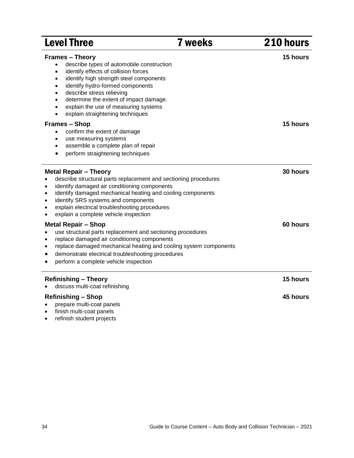| <b>Level Three</b>                                                                                                                                                                                                                                                                                                                                                                                                                                    | <b>7 weeks</b> | 210 hours |
|-------------------------------------------------------------------------------------------------------------------------------------------------------------------------------------------------------------------------------------------------------------------------------------------------------------------------------------------------------------------------------------------------------------------------------------------------------|----------------|-----------|
| <b>Frames - Theory</b><br>describe types of automobile construction<br>$\bullet$<br>identify effects of collision forces<br>$\bullet$<br>identify high strength steel components<br>$\bullet$<br>identify hydro-formed components<br>$\bullet$<br>describe stress relieving<br>$\bullet$<br>determine the extent of impact damage.<br>$\bullet$<br>explain the use of measuring systems<br>$\bullet$<br>explain straightening techniques<br>$\bullet$ |                | 15 hours  |
| <b>Frames - Shop</b><br>confirm the extent of damage<br>$\bullet$<br>use measuring systems<br>$\bullet$<br>assemble a complete plan of repair<br>$\bullet$<br>perform straightening techniques<br>$\bullet$                                                                                                                                                                                                                                           |                | 15 hours  |
| <b>Metal Repair - Theory</b><br>describe structural parts replacement and sectioning procedures<br>identify damaged air conditioning components<br>$\bullet$<br>identify damaged mechanical heating and cooling components<br>$\bullet$<br>identify SRS systems and components<br>$\bullet$<br>explain electrical troubleshooting procedures<br>$\bullet$<br>explain a complete vehicle inspection                                                    |                | 30 hours  |
| <b>Metal Repair - Shop</b><br>use structural parts replacement and sectioning procedures<br>$\bullet$<br>replace damaged air conditioning components<br>$\bullet$<br>replace damaged mechanical heating and cooling system components<br>$\bullet$<br>demonstrate electrical troubleshooting procedures<br>٠<br>perform a complete vehicle inspection                                                                                                 |                | 60 hours  |
| <b>Refinishing - Theory</b><br>discuss multi-coat refinishing                                                                                                                                                                                                                                                                                                                                                                                         |                | 15 hours  |
| <b>Refinishing - Shop</b><br>prepare multi-coat panels<br>finish multi-coat panels                                                                                                                                                                                                                                                                                                                                                                    |                | 45 hours  |

refinish student projects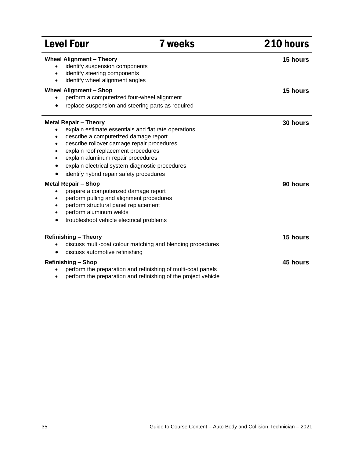| <b>Level Four</b>                                                                                                                                                                                                                                                                                                                                                                                                                                                                                                                                                                                                                                                                                    | <b>7 weeks</b>                                                                                                                 | 210 hours            |
|------------------------------------------------------------------------------------------------------------------------------------------------------------------------------------------------------------------------------------------------------------------------------------------------------------------------------------------------------------------------------------------------------------------------------------------------------------------------------------------------------------------------------------------------------------------------------------------------------------------------------------------------------------------------------------------------------|--------------------------------------------------------------------------------------------------------------------------------|----------------------|
| <b>Wheel Alignment - Theory</b><br>identify suspension components<br>$\bullet$<br>identify steering components<br>$\bullet$<br>identify wheel alignment angles<br>$\bullet$                                                                                                                                                                                                                                                                                                                                                                                                                                                                                                                          |                                                                                                                                | 15 hours             |
| <b>Wheel Alignment - Shop</b><br>perform a computerized four-wheel alignment<br>replace suspension and steering parts as required<br>٠                                                                                                                                                                                                                                                                                                                                                                                                                                                                                                                                                               |                                                                                                                                | 15 hours             |
| <b>Metal Repair - Theory</b><br>explain estimate essentials and flat rate operations<br>describe a computerized damage report<br>$\bullet$<br>describe rollover damage repair procedures<br>$\bullet$<br>explain roof replacement procedures<br>$\bullet$<br>explain aluminum repair procedures<br>$\bullet$<br>explain electrical system diagnostic procedures<br>$\bullet$<br>identify hybrid repair safety procedures<br><b>Metal Repair - Shop</b><br>prepare a computerized damage report<br>٠<br>perform pulling and alignment procedures<br>$\bullet$<br>perform structural panel replacement<br>$\bullet$<br>perform aluminum welds<br>$\bullet$<br>troubleshoot vehicle electrical problems |                                                                                                                                | 30 hours<br>90 hours |
| <b>Refinishing - Theory</b><br>$\bullet$<br>discuss automotive refinishing<br>٠                                                                                                                                                                                                                                                                                                                                                                                                                                                                                                                                                                                                                      | discuss multi-coat colour matching and blending procedures                                                                     | 15 hours             |
| <b>Refinishing - Shop</b><br>$\bullet$                                                                                                                                                                                                                                                                                                                                                                                                                                                                                                                                                                                                                                                               | perform the preparation and refinishing of multi-coat panels<br>perform the preparation and refinishing of the project vehicle | 45 hours             |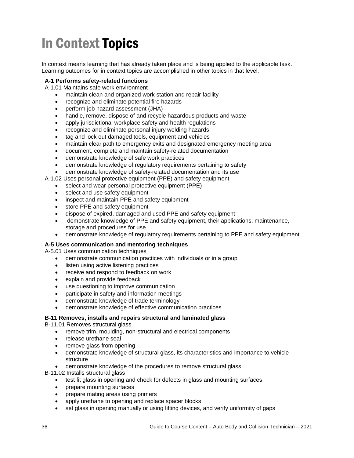## In Context Topics

In context means learning that has already taken place and is being applied to the applicable task. Learning outcomes for in context topics are accomplished in other topics in that level.

#### **A-1 Performs safety-related functions**

A-1.01 Maintains safe work environment

- maintain clean and organized work station and repair facility
- recognize and eliminate potential fire hazards
- perform job hazard assessment (JHA)
- handle, remove, dispose of and recycle hazardous products and waste
- apply jurisdictional workplace safety and health regulations
- recognize and eliminate personal injury welding hazards
- tag and lock out damaged tools, equipment and vehicles
- maintain clear path to emergency exits and designated emergency meeting area
- document, complete and maintain safety-related documentation
- demonstrate knowledge of safe work practices
- demonstrate knowledge of regulatory requirements pertaining to safety
- demonstrate knowledge of safety-related documentation and its use

A-1.02 Uses personal protective equipment (PPE) and safety equipment

- select and wear personal protective equipment (PPE)
- select and use safety equipment
- inspect and maintain PPE and safety equipment
- store PPE and safety equipment
- dispose of expired, damaged and used PPE and safety equipment
- demonstrate knowledge of PPE and safety equipment, their applications, maintenance, storage and procedures for use
- demonstrate knowledge of regulatory requirements pertaining to PPE and safety equipment

#### **A-5 Uses communication and mentoring techniques**

A-5.01 Uses communication techniques

- demonstrate communication practices with individuals or in a group
- listen using active listening practices
- receive and respond to feedback on work
- explain and provide feedback
- use questioning to improve communication
- participate in safety and information meetings
- demonstrate knowledge of trade terminology
- demonstrate knowledge of effective communication practices

#### **B-11 Removes, installs and repairs structural and laminated glass**

B-11.01 Removes structural glass

- remove trim, moulding, non-structural and electrical components
- release urethane seal
- remove glass from opening
- demonstrate knowledge of structural glass, its characteristics and importance to vehicle structure
- demonstrate knowledge of the procedures to remove structural glass

B-11.02 Installs structural glass

- test fit glass in opening and check for defects in glass and mounting surfaces
- prepare mounting surfaces
- prepare mating areas using primers
- apply urethane to opening and replace spacer blocks
- set glass in opening manually or using lifting devices, and verify uniformity of gaps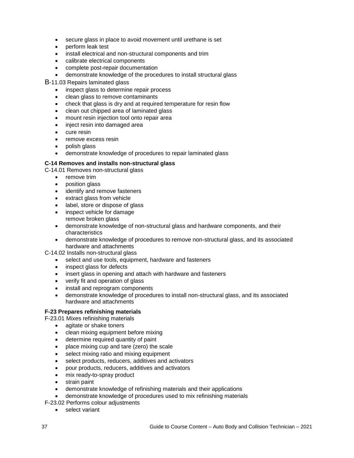- secure glass in place to avoid movement until urethane is set
- perform leak test
- install electrical and non-structural components and trim
- calibrate electrical components
- complete post-repair documentation
- demonstrate knowledge of the procedures to install structural glass

B-11.03 Repairs laminated glass

- inspect glass to determine repair process
- clean glass to remove contaminants
- check that glass is dry and at required temperature for resin flow
- clean out chipped area of laminated glass
- mount resin injection tool onto repair area
- inject resin into damaged area
- cure resin
- remove excess resin
- polish glass
- demonstrate knowledge of procedures to repair laminated glass

#### **C-14 Removes and installs non-structural glass**

C-14.01 Removes non-structural glass

- remove trim
- position glass
- identify and remove fasteners
- extract glass from vehicle
- label, store or dispose of glass
- inspect vehicle for damage
- remove broken glass demonstrate knowledge of non-structural glass and hardware components, and their
- characteristics demonstrate knowledge of procedures to remove non-structural glass, and its associated hardware and attachments

C-14.02 Installs non-structural glass

- select and use tools, equipment, hardware and fasteners
- inspect glass for defects
- insert glass in opening and attach with hardware and fasteners
- verify fit and operation of glass
- install and reprogram components
- demonstrate knowledge of procedures to install non-structural glass, and its associated hardware and attachments

#### **F-23 Prepares refinishing materials**

F-23.01 Mixes refinishing materials

- agitate or shake toners
- clean mixing equipment before mixing
- determine required quantity of paint
- place mixing cup and tare (zero) the scale
- select mixing ratio and mixing equipment
- select products, reducers, additives and activators
- pour products, reducers, additives and activators
- mix ready-to-spray product
- strain paint
- demonstrate knowledge of refinishing materials and their applications
- demonstrate knowledge of procedures used to mix refinishing materials

F-23.02 Performs colour adjustments

select variant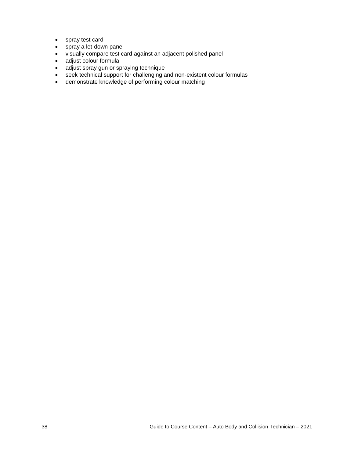- spray test card
- spray a let-down panel
- visually compare test card against an adjacent polished panel
- adjust colour formula
- adjust spray gun or spraying technique
- seek technical support for challenging and non-existent colour formulas
- demonstrate knowledge of performing colour matching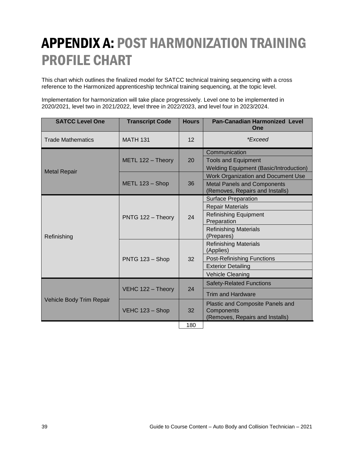## APPENDIX A: POST HARMONIZATION TRAINING PROFILE CHART

This chart which outlines the finalized model for SATCC technical training sequencing with a cross reference to the Harmonized apprenticeship technical training sequencing, at the topic level.

Implementation for harmonization will take place progressively. Level one to be implemented in 2020/2021, level two in 2021/2022, level three in 2022/2023, and level four in 2023/2024.

| <b>SATCC Level One</b>   | <b>Transcript Code</b> | <b>Hours</b> | <b>Pan-Canadian Harmonized Level</b><br>One                           |
|--------------------------|------------------------|--------------|-----------------------------------------------------------------------|
| <b>Trade Mathematics</b> | <b>MATH 131</b>        | 12           | <i>*Exceed</i>                                                        |
|                          | METL 122 - Theory      | 20           | Communication                                                         |
| <b>Metal Repair</b>      |                        |              | <b>Tools and Equipment</b>                                            |
|                          |                        |              | <b>Welding Equipment (Basic/Introduction)</b>                         |
|                          | METL 123 - Shop        |              | <b>Work Organization and Document Use</b>                             |
|                          |                        | 36           | <b>Metal Panels and Components</b><br>(Removes, Repairs and Installs) |
|                          | PNTG 122 - Theory      |              | <b>Surface Preparation</b>                                            |
|                          |                        | 24           | <b>Repair Materials</b>                                               |
|                          |                        |              | <b>Refinishing Equipment</b>                                          |
|                          |                        |              | Preparation                                                           |
|                          |                        |              | <b>Refinishing Materials</b><br>(Prepares)                            |
| Refinishing              | PNTG 123 - Shop        | 32           | <b>Refinishing Materials</b>                                          |
|                          |                        |              | (Applies)                                                             |
|                          |                        |              | <b>Post-Refinishing Functions</b>                                     |
|                          |                        |              | <b>Exterior Detailing</b>                                             |
|                          |                        |              | <b>Vehicle Cleaning</b>                                               |
| Vehicle Body Trim Repair | VEHC 122 - Theory      | 24           | <b>Safety-Related Functions</b>                                       |
|                          |                        |              | <b>Trim and Hardware</b>                                              |
|                          | VEHC 123 - Shop        | 32           | Plastic and Composite Panels and                                      |
|                          |                        |              | Components                                                            |
|                          |                        |              | (Removes, Repairs and Installs)                                       |
|                          |                        | 180          |                                                                       |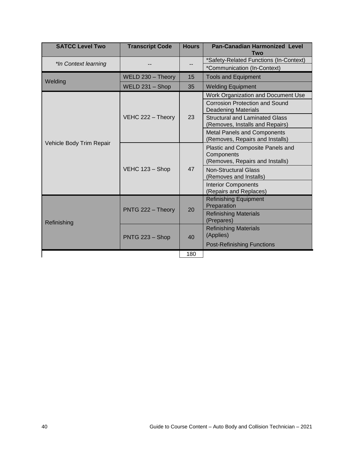| <b>SATCC Level Two</b>   | <b>Transcript Code</b> | <b>Hours</b> | <b>Pan-Canadian Harmonized Level</b><br>Two                                       |
|--------------------------|------------------------|--------------|-----------------------------------------------------------------------------------|
| *In Context learning     |                        |              | *Safety-Related Functions (In-Context)<br>*Communication (In-Context)             |
| Welding                  | WELD 230 - Theory      | 15           | <b>Tools and Equipment</b>                                                        |
|                          | WELD 231 - Shop        | 35           | <b>Welding Equipment</b>                                                          |
| Vehicle Body Trim Repair | VEHC 222 - Theory      | 23           | Work Organization and Document Use                                                |
|                          |                        |              | <b>Corrosion Protection and Sound</b><br><b>Deadening Materials</b>               |
|                          |                        |              | <b>Structural and Laminated Glass</b><br>(Removes, Installs and Repairs)          |
|                          |                        |              | <b>Metal Panels and Components</b><br>(Removes, Repairs and Installs)             |
|                          | VEHC 123 - Shop        | 47           | Plastic and Composite Panels and<br>Components<br>(Removes, Repairs and Installs) |
|                          |                        |              | <b>Non-Structural Glass</b><br>(Removes and Installs)                             |
|                          |                        |              | <b>Interior Components</b><br>(Repairs and Replaces)                              |
| Refinishing              | PNTG 222 - Theory      | 20           | <b>Refinishing Equipment</b><br>Preparation                                       |
|                          |                        |              | <b>Refinishing Materials</b><br>(Prepares)                                        |
|                          | PNTG 223 - Shop        | 40           | <b>Refinishing Materials</b><br>(Applies)                                         |
|                          |                        |              | <b>Post-Refinishing Functions</b>                                                 |
|                          |                        | 180          |                                                                                   |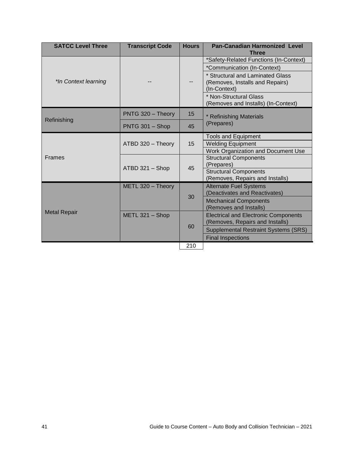| <b>SATCC Level Three</b> | <b>Transcript Code</b> | <b>Hours</b> | <b>Pan-Canadian Harmonized Level</b><br><b>Three</b>                           |
|--------------------------|------------------------|--------------|--------------------------------------------------------------------------------|
| *In Context learning     |                        |              | *Safety-Related Functions (In-Context)                                         |
|                          |                        |              | *Communication (In-Context)<br>* Structural and Laminated Glass                |
|                          |                        |              | (Removes, Installs and Repairs)<br>(In-Context)                                |
|                          |                        |              | * Non-Structural Glass<br>(Removes and Installs) (In-Context)                  |
| Refinishing              | PNTG 320 - Theory      | 15           | * Refinishing Materials                                                        |
|                          | PNTG 301 - Shop        | 45           | (Prepares)                                                                     |
| <b>Frames</b>            | ATBD 320 - Theory      | 15           | <b>Tools and Equipment</b>                                                     |
|                          |                        |              | <b>Welding Equipment</b><br>Work Organization and Document Use                 |
|                          | ATBD 321 - Shop        | 45           | <b>Structural Components</b>                                                   |
|                          |                        |              | (Prepares)                                                                     |
|                          |                        |              | <b>Structural Components</b><br>(Removes, Repairs and Installs)                |
|                          | METL 320 - Theory      |              | <b>Alternate Fuel Systems</b>                                                  |
| <b>Metal Repair</b>      | METL $321 -$ Shop      | 30           | (Deactivates and Reactivates)                                                  |
|                          |                        |              | <b>Mechanical Components</b>                                                   |
|                          |                        |              | (Removes and Installs)                                                         |
|                          |                        | 60           | <b>Electrical and Electronic Components</b><br>(Removes, Repairs and Installs) |
|                          |                        |              | <b>Supplemental Restraint Systems (SRS)</b>                                    |
|                          |                        |              | <b>Final Inspections</b>                                                       |
|                          |                        | 210          |                                                                                |